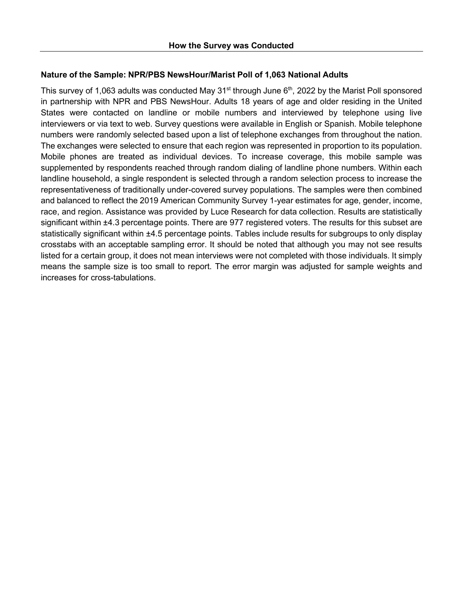## **Nature of the Sample: NPR/PBS NewsHour/Marist Poll of 1,063 National Adults**

This survey of 1,063 adults was conducted May  $31<sup>st</sup>$  through June  $6<sup>th</sup>$ , 2022 by the Marist Poll sponsored in partnership with NPR and PBS NewsHour. Adults 18 years of age and older residing in the United States were contacted on landline or mobile numbers and interviewed by telephone using live interviewers or via text to web. Survey questions were available in English or Spanish. Mobile telephone numbers were randomly selected based upon a list of telephone exchanges from throughout the nation. The exchanges were selected to ensure that each region was represented in proportion to its population. Mobile phones are treated as individual devices. To increase coverage, this mobile sample was supplemented by respondents reached through random dialing of landline phone numbers. Within each landline household, a single respondent is selected through a random selection process to increase the representativeness of traditionally under-covered survey populations. The samples were then combined and balanced to reflect the 2019 American Community Survey 1-year estimates for age, gender, income, race, and region. Assistance was provided by Luce Research for data collection. Results are statistically significant within ±4.3 percentage points. There are 977 registered voters. The results for this subset are statistically significant within ±4.5 percentage points. Tables include results for subgroups to only display crosstabs with an acceptable sampling error. It should be noted that although you may not see results listed for a certain group, it does not mean interviews were not completed with those individuals. It simply means the sample size is too small to report. The error margin was adjusted for sample weights and increases for cross-tabulations.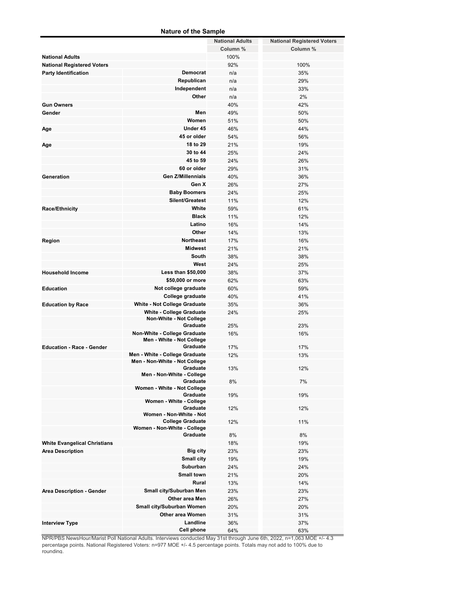#### **Nature of the Sample**

|                                     |                                         | <b>National Adults</b> | <b>National Registered Voters</b> |
|-------------------------------------|-----------------------------------------|------------------------|-----------------------------------|
|                                     |                                         | Column %               | Column %                          |
| <b>National Adults</b>              |                                         | 100%                   |                                   |
| <b>National Registered Voters</b>   |                                         | 92%                    | 100%                              |
| <b>Party Identification</b>         | <b>Democrat</b>                         | n/a                    | 35%                               |
|                                     | Republican                              |                        |                                   |
|                                     |                                         | n/a                    | 29%                               |
|                                     | Independent                             | n/a                    | 33%                               |
|                                     | Other                                   | n/a                    | 2%                                |
| <b>Gun Owners</b>                   |                                         | 40%                    | 42%                               |
| Gender                              | Men                                     | 49%                    | 50%                               |
|                                     | Women                                   | 51%                    | 50%                               |
| Age                                 | Under 45                                | 46%                    | 44%                               |
|                                     | 45 or older                             |                        |                                   |
|                                     |                                         | 54%                    | 56%                               |
| Age                                 | 18 to 29                                | 21%                    | 19%                               |
|                                     | 30 to 44                                | 25%                    | 24%                               |
|                                     | 45 to 59                                | 24%                    | 26%                               |
|                                     | 60 or older                             | 29%                    | 31%                               |
| Generation                          | <b>Gen Z/Millennials</b>                | 40%                    | 36%                               |
|                                     | Gen X                                   | 26%                    | 27%                               |
|                                     | <b>Baby Boomers</b>                     |                        |                                   |
|                                     |                                         | 24%                    | 25%                               |
|                                     | Silent/Greatest                         | 11%                    | 12%                               |
| Race/Ethnicity                      | White                                   | 59%                    | 61%                               |
|                                     | <b>Black</b>                            | 11%                    | 12%                               |
|                                     | Latino                                  | 16%                    | 14%                               |
|                                     | Other                                   | 14%                    | 13%                               |
|                                     | <b>Northeast</b>                        | 17%                    | 16%                               |
| Region                              |                                         |                        |                                   |
|                                     | <b>Midwest</b>                          | 21%                    | 21%                               |
|                                     | South                                   | 38%                    | 38%                               |
|                                     | West                                    | 24%                    | 25%                               |
| <b>Household Income</b>             | <b>Less than \$50,000</b>               | 38%                    | 37%                               |
|                                     | \$50,000 or more                        | 62%                    | 63%                               |
| <b>Education</b>                    | Not college graduate                    | 60%                    | 59%                               |
|                                     | College graduate                        |                        |                                   |
|                                     |                                         | 40%                    | 41%                               |
| <b>Education by Race</b>            | <b>White - Not College Graduate</b>     | 35%                    | 36%                               |
|                                     | <b>White - College Graduate</b>         | 24%                    | 25%                               |
|                                     | <b>Non-White - Not College</b>          |                        |                                   |
|                                     | Graduate                                | 25%                    | 23%                               |
|                                     | Non-White - College Graduate            | 16%                    | 16%                               |
|                                     | Men - White - Not College               |                        |                                   |
| <b>Education - Race - Gender</b>    | Graduate                                | 17%                    | 17%                               |
|                                     | Men - White - College Graduate          | 12%                    | 13%                               |
|                                     | Men - Non-White - Not College           |                        |                                   |
|                                     | Graduate                                | 13%                    | 12%                               |
|                                     | Men - Non-White - College               |                        |                                   |
|                                     | Graduate                                | 8%                     | 7%                                |
|                                     | Women - White - Not College<br>Graduate |                        |                                   |
|                                     | Women - White - College                 | 19%                    | 19%                               |
|                                     | Graduate                                | 12%                    | 12%                               |
|                                     | Women - Non-White - Not                 |                        |                                   |
|                                     | <b>College Graduate</b>                 | 12%                    | 11%                               |
|                                     | Women - Non-White - College             |                        |                                   |
|                                     | Graduate                                | 8%                     | 8%                                |
| <b>White Evangelical Christians</b> |                                         | 18%                    | 19%                               |
|                                     | <b>Big city</b>                         | 23%                    | 23%                               |
| <b>Area Description</b>             |                                         |                        |                                   |
|                                     | Small city                              | 19%                    | 19%                               |
|                                     | Suburban                                | 24%                    | 24%                               |
|                                     | <b>Small town</b>                       | 21%                    | 20%                               |
|                                     | Rural                                   | 13%                    | 14%                               |
| <b>Area Description - Gender</b>    | Small city/Suburban Men                 | 23%                    | 23%                               |
|                                     | Other area Men                          | 26%                    | 27%                               |
|                                     |                                         |                        |                                   |
|                                     | Small city/Suburban Women               | 20%                    | 20%                               |
|                                     | Other area Women                        | 31%                    | 31%                               |
| <b>Interview Type</b>               | Landline                                | 36%                    | 37%                               |
|                                     | <b>Cell phone</b>                       | 64%                    | 63%                               |

NPR/PBS NewsHour/Marist Poll National Adults. Interviews conducted May 31st through June 6th, 2022, n=1,063 MOE +/- 4.3 percentage points. National Registered Voters: n=977 MOE +/- 4.5 percentage points. Totals may not add to 100% due to rounding.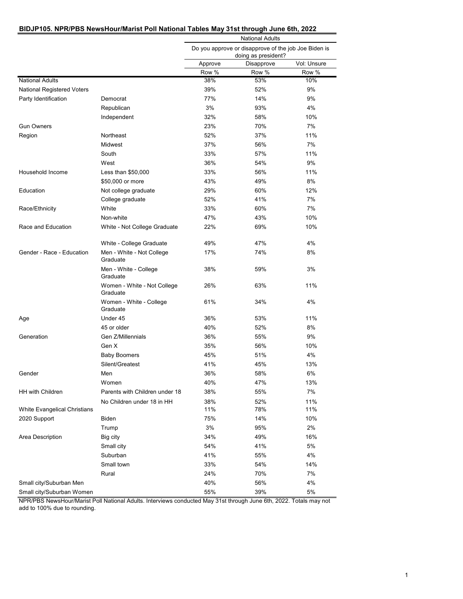#### **BIDJP105. NPR/PBS NewsHour/Marist Poll National Tables May 31st through June 6th, 2022**

|                                   |                                         | <b>National Adults</b><br>Do you approve or disapprove of the job Joe Biden is<br>doing as president? |            |             |  |
|-----------------------------------|-----------------------------------------|-------------------------------------------------------------------------------------------------------|------------|-------------|--|
|                                   |                                         |                                                                                                       |            |             |  |
|                                   |                                         | Approve                                                                                               | Disapprove | Vol: Unsure |  |
|                                   |                                         | Row %                                                                                                 | Row %      | Row %       |  |
| <b>National Adults</b>            |                                         | 38%                                                                                                   | 53%        | 10%         |  |
| <b>National Registered Voters</b> |                                         | 39%                                                                                                   | 52%        | 9%          |  |
| Party Identification              | Democrat                                | 77%                                                                                                   | 14%        | 9%          |  |
|                                   | Republican                              | 3%                                                                                                    | 93%        | 4%          |  |
|                                   | Independent                             | 32%                                                                                                   | 58%        | 10%         |  |
| <b>Gun Owners</b>                 |                                         | 23%                                                                                                   | 70%        | 7%          |  |
| Region                            | Northeast                               | 52%                                                                                                   | 37%        | 11%         |  |
|                                   | Midwest                                 | 37%                                                                                                   | 56%        | 7%          |  |
|                                   | South                                   | 33%                                                                                                   | 57%        | 11%         |  |
|                                   | West                                    | 36%                                                                                                   | 54%        | 9%          |  |
| Household Income                  | Less than \$50,000                      | 33%                                                                                                   | 56%        | 11%         |  |
|                                   | \$50,000 or more                        | 43%                                                                                                   | 49%        | 8%          |  |
| Education                         | Not college graduate                    | 29%                                                                                                   | 60%        | 12%         |  |
|                                   | College graduate                        | 52%                                                                                                   | 41%        | 7%          |  |
| Race/Ethnicity                    | White                                   | 33%                                                                                                   | 60%        | 7%          |  |
|                                   | Non-white                               | 47%                                                                                                   | 43%        | 10%         |  |
| Race and Education                | White - Not College Graduate            | 22%                                                                                                   | 69%        | 10%         |  |
|                                   |                                         |                                                                                                       |            |             |  |
|                                   | White - College Graduate                | 49%                                                                                                   | 47%        | 4%          |  |
| Gender - Race - Education         | Men - White - Not College<br>Graduate   | 17%                                                                                                   | 74%        | 8%          |  |
|                                   | Men - White - College<br>Graduate       | 38%                                                                                                   | 59%        | 3%          |  |
|                                   | Women - White - Not College<br>Graduate | 26%                                                                                                   | 63%        | 11%         |  |
|                                   | Women - White - College<br>Graduate     | 61%                                                                                                   | 34%        | 4%          |  |
| Age                               | Under 45                                | 36%                                                                                                   | 53%        | 11%         |  |
|                                   | 45 or older                             | 40%                                                                                                   | 52%        | 8%          |  |
| Generation                        | Gen Z/Millennials                       | 36%                                                                                                   | 55%        | 9%          |  |
|                                   | Gen X                                   | 35%                                                                                                   | 56%        | 10%         |  |
|                                   | <b>Baby Boomers</b>                     | 45%                                                                                                   | 51%        | 4%          |  |
|                                   | Silent/Greatest                         | 41%                                                                                                   | 45%        | 13%         |  |
| Gender                            | Men                                     | 36%                                                                                                   | 58%        | 6%          |  |
|                                   | Women                                   | 40%                                                                                                   | 47%        | 13%         |  |
| <b>HH with Children</b>           | Parents with Children under 18          | 38%                                                                                                   | 55%        | 7%          |  |
|                                   | No Children under 18 in HH              | 38%                                                                                                   | 52%        | 11%         |  |
| White Evangelical Christians      |                                         | 11%                                                                                                   | 78%        | 11%         |  |
| 2020 Support                      | Biden                                   | 75%                                                                                                   | 14%        | 10%         |  |
|                                   | Trump                                   | 3%                                                                                                    | 95%        | 2%          |  |
| Area Description                  | Big city                                | 34%                                                                                                   | 49%        | 16%         |  |
|                                   | Small city                              | 54%                                                                                                   | 41%        | 5%          |  |
|                                   | Suburban                                | 41%                                                                                                   | 55%        | 4%          |  |
|                                   | Small town                              | 33%                                                                                                   | 54%        | 14%         |  |
|                                   | Rural                                   | 24%                                                                                                   | 70%        | 7%          |  |
| Small city/Suburban Men           |                                         | 40%                                                                                                   | 56%        | 4%          |  |
| Small city/Suburban Women         |                                         | 55%                                                                                                   | 39%        | 5%          |  |
|                                   |                                         |                                                                                                       |            |             |  |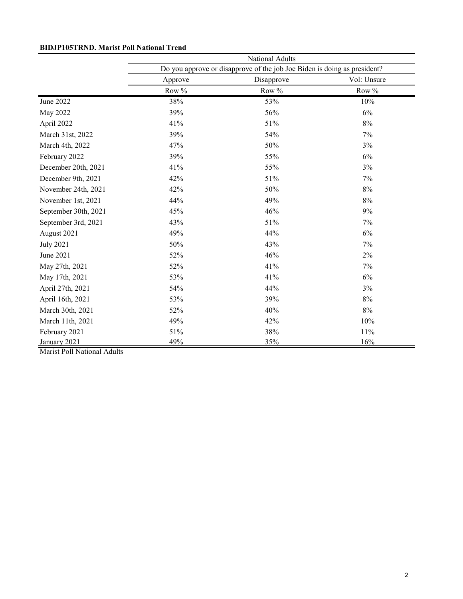| <b>BIDJP105TRND. Marist Poll National Trend</b> |  |  |  |
|-------------------------------------------------|--|--|--|
|-------------------------------------------------|--|--|--|

|                      | National Adults                                                          |            |             |  |  |
|----------------------|--------------------------------------------------------------------------|------------|-------------|--|--|
|                      | Do you approve or disapprove of the job Joe Biden is doing as president? |            |             |  |  |
|                      | Approve                                                                  | Disapprove | Vol: Unsure |  |  |
|                      | Row %                                                                    | Row %      | Row %       |  |  |
| June 2022            | 38%                                                                      | 53%        | 10%         |  |  |
| May 2022             | 39%                                                                      | 56%        | $6\%$       |  |  |
| April 2022           | 41%                                                                      | 51%        | 8%          |  |  |
| March 31st, 2022     | 39%                                                                      | 54%        | 7%          |  |  |
| March 4th, 2022      | 47%                                                                      | 50%        | 3%          |  |  |
| February 2022        | 39%                                                                      | 55%        | 6%          |  |  |
| December 20th, 2021  | 41%                                                                      | 55%        | 3%          |  |  |
| December 9th, 2021   | 42%                                                                      | 51%        | 7%          |  |  |
| November 24th, 2021  | 42%                                                                      | 50%        | $8\%$       |  |  |
| November 1st, 2021   | 44%                                                                      | 49%        | $8\%$       |  |  |
| September 30th, 2021 | 45%                                                                      | 46%        | 9%          |  |  |
| September 3rd, 2021  | 43%                                                                      | 51%        | 7%          |  |  |
| August 2021          | 49%                                                                      | 44%        | 6%          |  |  |
| <b>July 2021</b>     | 50%                                                                      | 43%        | 7%          |  |  |
| June 2021            | 52%                                                                      | 46%        | 2%          |  |  |
| May 27th, 2021       | 52%                                                                      | 41%        | 7%          |  |  |
| May 17th, 2021       | 53%                                                                      | 41%        | 6%          |  |  |
| April 27th, 2021     | 54%                                                                      | 44%        | 3%          |  |  |
| April 16th, 2021     | 53%                                                                      | 39%        | 8%          |  |  |
| March 30th, 2021     | 52%                                                                      | 40%        | 8%          |  |  |
| March 11th, 2021     | 49%                                                                      | 42%        | 10%         |  |  |
| February 2021        | 51%                                                                      | 38%        | 11%         |  |  |
| January 2021         | 49%                                                                      | 35%        | 16%         |  |  |

Marist Poll National Adults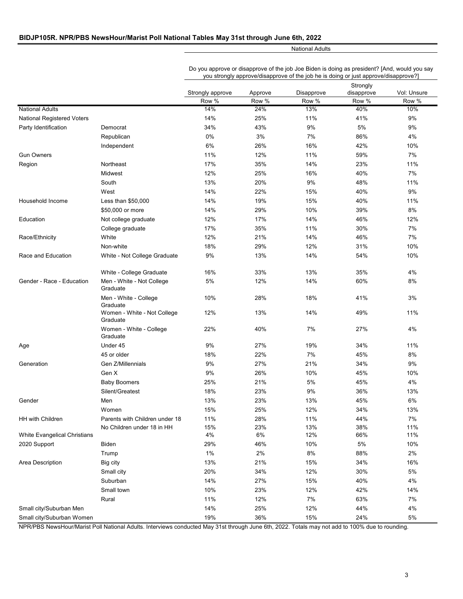#### **BIDJP105R. NPR/PBS NewsHour/Marist Poll National Tables May 31st through June 6th, 2022**

National Adults

Do you approve or disapprove of the job Joe Biden is doing as president? [And, would you say you strongly approve/disapprove of the job he is doing or just approve/disapprove?]

|                              |                                                              |                  |            |            | Strongly   |             |
|------------------------------|--------------------------------------------------------------|------------------|------------|------------|------------|-------------|
|                              |                                                              | Strongly approve | Approve    | Disapprove | disapprove | Vol: Unsure |
|                              |                                                              | Row %            | Row %      | Row %      | Row %      | Row %       |
| <b>National Adults</b>       |                                                              | 14%              | 24%        | 13%        | 40%        | 10%         |
| National Registered Voters   |                                                              | 14%              | 25%        | 11%        | 41%        | 9%          |
| Party Identification         | Democrat                                                     | 34%              | 43%        | 9%         | 5%         | 9%          |
|                              | Republican                                                   | 0%               | 3%         | 7%         | 86%        | 4%          |
|                              | Independent                                                  | 6%               | 26%        | 16%        | 42%        | 10%         |
| <b>Gun Owners</b>            |                                                              | 11%              | 12%        | 11%        | 59%        | 7%          |
| Region                       | Northeast                                                    | 17%              | 35%        | 14%        | 23%        | 11%         |
|                              | Midwest                                                      | 12%              | 25%        | 16%        | 40%        | 7%          |
|                              | South                                                        | 13%              | 20%        | 9%         | 48%        | 11%         |
|                              | West                                                         | 14%              | 22%        | 15%        | 40%        | 9%          |
| Household Income             | Less than $$50,000$                                          | 14%              | 19%        | 15%        | 40%        | 11%         |
|                              | \$50,000 or more                                             | 14%              | 29%        | 10%        | 39%        | 8%          |
| Education                    | Not college graduate                                         | 12%              | 17%        | 14%        | 46%        | 12%         |
|                              | College graduate                                             | 17%              | 35%        | 11%        | 30%        | 7%          |
| Race/Ethnicity               | White                                                        | 12%              | 21%        | 14%        | 46%        | 7%          |
|                              | Non-white                                                    | 18%              | 29%        | 12%        | 31%        | 10%         |
| Race and Education           | White - Not College Graduate                                 | 9%               | 13%        | 14%        | 54%        | 10%         |
|                              |                                                              |                  |            |            |            |             |
|                              | White - College Graduate                                     | 16%              | 33%        | 13%        | 35%        | 4%          |
| Gender - Race - Education    | Men - White - Not College<br>Graduate                        | 5%               | 12%        | 14%        | 60%        | 8%          |
|                              | Men - White - College<br>Graduate                            | 10%              | 28%        | 18%        | 41%        | 3%          |
|                              | Women - White - Not College<br>Graduate                      | 12%              | 13%        | 14%        | 49%        | 11%         |
|                              | Women - White - College<br>Graduate                          | 22%              | 40%        | 7%         | 27%        | 4%          |
| Age                          | Under 45                                                     | 9%               | 27%        | 19%        | 34%        | 11%         |
|                              | 45 or older                                                  | 18%              | 22%        | 7%         | 45%        | 8%          |
| Generation                   | Gen Z/Millennials                                            | 9%               | 27%        | 21%        | 34%        | 9%          |
|                              | Gen X                                                        | 9%               | 26%        | 10%        | 45%        | 10%         |
|                              | <b>Baby Boomers</b>                                          | 25%              | 21%        | 5%         | 45%        | 4%          |
|                              | Silent/Greatest                                              | 18%              | 23%        | 9%         | 36%        | 13%         |
| Gender                       | Men                                                          | 13%              | 23%        | 13%        | 45%        | 6%          |
|                              | Women                                                        | 15%              | 25%        | 12%        | 34%        | 13%         |
|                              |                                                              |                  |            |            |            |             |
| HH with Children             | Parents with Children under 18<br>No Children under 18 in HH | 11%<br>15%       | 28%<br>23% | 11%<br>13% | 44%<br>38% | 7%<br>11%   |
| White Evangelical Christians |                                                              | 4%               | $6\%$      | 12%        | 66%        | 11%         |
| 2020 Support                 | Biden                                                        | 29%              | 46%        | 10%        | $5\%$      | 10%         |
|                              | Trump                                                        | 1%               | $2\%$      | $8\%$      | 88%        | 2%          |
| Area Description             | Big city                                                     | 13%              | 21%        | 15%        | 34%        | 16%         |
|                              |                                                              | 20%              | 34%        | 12%        |            | $5\%$       |
|                              | Small city                                                   |                  |            |            | 30%        |             |
|                              | Suburban                                                     | 14%              | 27%        | 15%        | 40%        | 4%          |
|                              | Small town                                                   | 10%              | 23%        | 12%        | 42%        | 14%         |
|                              | Rural                                                        | 11%              | 12%        | 7%         | 63%        | 7%          |
| Small city/Suburban Men      |                                                              | 14%              | 25%        | 12%        | 44%        | 4%          |
| Small city/Suburban Women    |                                                              | 19%              | 36%        | 15%        | 24%        | 5%          |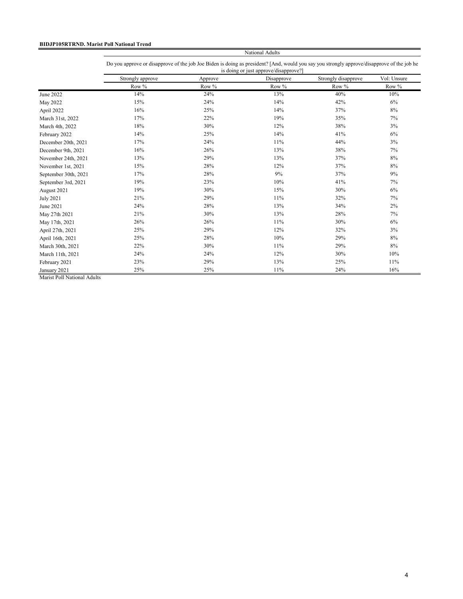#### **BIDJP105RTRND. Marist Poll National Trend**

National Adults Do you approve or disapprove of the job Joe Biden is doing as president? [And, would you say you strongly approve/disapprove of the job he is doing or just approve/disapprove?]

|                      | Strongly approve | Approve | Disapprove | Strongly disapprove | Vol: Unsure |
|----------------------|------------------|---------|------------|---------------------|-------------|
|                      | Row %            | Row %   | Row %      | Row %               | Row %       |
| June 2022            | 14%              | 24%     | 13%        | 40%                 | 10%         |
| May 2022             | 15%              | 24%     | 14%        | 42%                 | 6%          |
| April 2022           | 16%              | 25%     | 14%        | 37%                 | 8%          |
| March 31st, 2022     | 17%              | 22%     | 19%        | 35%                 | 7%          |
| March 4th, 2022      | 18%              | 30%     | 12%        | 38%                 | 3%          |
| February 2022        | 14%              | 25%     | 14%        | 41%                 | 6%          |
| December 20th, 2021  | 17%              | 24%     | $11\%$     | 44%                 | 3%          |
| December 9th, 2021   | 16%              | 26%     | 13%        | 38%                 | 7%          |
| November 24th, 2021  | 13%              | 29%     | 13%        | 37%                 | 8%          |
| November 1st, 2021   | 15%              | 28%     | 12%        | 37%                 | 8%          |
| September 30th, 2021 | 17%              | 28%     | 9%         | 37%                 | 9%          |
| September 3rd, 2021  | 19%              | 23%     | 10%        | 41%                 | 7%          |
| August 2021          | 19%              | 30%     | 15%        | 30%                 | $6\%$       |
| <b>July 2021</b>     | 21%              | 29%     | 11%        | 32%                 | 7%          |
| June 2021            | 24%              | 28%     | 13%        | 34%                 | 2%          |
| May 27th 2021        | 21%              | 30%     | 13%        | 28%                 | 7%          |
| May 17th, 2021       | 26%              | 26%     | 11%        | 30%                 | $6\%$       |
| April 27th, 2021     | 25%              | 29%     | 12%        | 32%                 | 3%          |
| April 16th, 2021     | 25%              | 28%     | 10%        | 29%                 | 8%          |
| March 30th, 2021     | 22%              | 30%     | 11%        | 29%                 | 8%          |
| March 11th, 2021     | 24%              | 24%     | 12%        | 30%                 | 10%         |
| February 2021        | 23%              | 29%     | 13%        | 25%                 | 11%         |
| January 2021         | 25%              | 25%     | 11%        | 24%                 | 16%         |

Marist Poll National Adults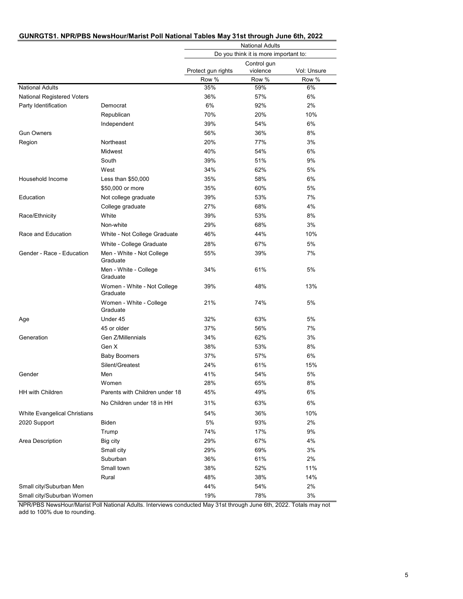| GUNRGTS1. NPR/PBS NewsHour/Marist Poll National Tables May 31st through June 6th, 2022 |
|----------------------------------------------------------------------------------------|
|----------------------------------------------------------------------------------------|

|                                   |                                         |                                                              | <b>National Adults</b>                |       |  |
|-----------------------------------|-----------------------------------------|--------------------------------------------------------------|---------------------------------------|-------|--|
|                                   |                                         |                                                              | Do you think it is more important to: |       |  |
|                                   |                                         | Control gun<br>Protect gun rights<br>violence<br>Vol: Unsure |                                       |       |  |
|                                   |                                         | Row %                                                        | Row %                                 | Row % |  |
| <b>National Adults</b>            |                                         | 35%                                                          | 59%                                   | 6%    |  |
| <b>National Registered Voters</b> |                                         | 36%                                                          | 57%                                   | 6%    |  |
| Party Identification              | Democrat                                | 6%                                                           | 92%                                   | 2%    |  |
|                                   | Republican                              | 70%                                                          | 20%                                   | 10%   |  |
|                                   | Independent                             | 39%                                                          | 54%                                   | 6%    |  |
| <b>Gun Owners</b>                 |                                         | 56%                                                          | 36%                                   | 8%    |  |
| Region                            | Northeast                               | 20%                                                          | 77%                                   | 3%    |  |
|                                   | Midwest                                 | 40%                                                          | 54%                                   | 6%    |  |
|                                   | South                                   | 39%                                                          | 51%                                   | 9%    |  |
|                                   | West                                    | 34%                                                          | 62%                                   | 5%    |  |
| Household Income                  | Less than \$50,000                      | 35%                                                          | 58%                                   | 6%    |  |
|                                   | \$50,000 or more                        | 35%                                                          | 60%                                   | 5%    |  |
| Education                         | Not college graduate                    | 39%                                                          | 53%                                   | 7%    |  |
|                                   | College graduate                        | 27%                                                          | 68%                                   | 4%    |  |
| Race/Ethnicity                    | White                                   | 39%                                                          | 53%                                   | 8%    |  |
|                                   | Non-white                               | 29%                                                          | 68%                                   | 3%    |  |
| Race and Education                | White - Not College Graduate            | 46%                                                          | 44%                                   | 10%   |  |
|                                   | White - College Graduate                | 28%                                                          | 67%                                   | 5%    |  |
| Gender - Race - Education         | Men - White - Not College<br>Graduate   | 55%                                                          | 39%                                   | 7%    |  |
|                                   | Men - White - College<br>Graduate       | 34%                                                          | 61%                                   | 5%    |  |
|                                   | Women - White - Not College<br>Graduate | 39%                                                          | 48%                                   | 13%   |  |
|                                   | Women - White - College<br>Graduate     | 21%                                                          | 74%                                   | 5%    |  |
| Age                               | Under 45                                | 32%                                                          | 63%                                   | 5%    |  |
|                                   | 45 or older                             | 37%                                                          | 56%                                   | 7%    |  |
| Generation                        | Gen Z/Millennials                       | 34%                                                          | 62%                                   | 3%    |  |
|                                   | Gen X                                   | 38%                                                          | 53%                                   | 8%    |  |
|                                   | <b>Baby Boomers</b>                     | 37%                                                          | 57%                                   | 6%    |  |
|                                   | Silent/Greatest                         | 24%                                                          | 61%                                   | 15%   |  |
| Gender                            | Men                                     | 41%                                                          | 54%                                   | 5%    |  |
|                                   | Women                                   | 28%                                                          | 65%                                   | 8%    |  |
| HH with Children                  | Parents with Children under 18          | 45%                                                          | 49%                                   | 6%    |  |
|                                   | No Children under 18 in HH              | 31%                                                          | 63%                                   | 6%    |  |
| White Evangelical Christians      |                                         | 54%                                                          | 36%                                   | 10%   |  |
| 2020 Support                      | Biden                                   | 5%                                                           | 93%                                   | 2%    |  |
|                                   | Trump                                   | 74%                                                          | 17%                                   | 9%    |  |
| Area Description                  | Big city                                | 29%                                                          | 67%                                   | 4%    |  |
|                                   | Small city                              | 29%                                                          | 69%                                   | 3%    |  |
|                                   | Suburban                                | 36%                                                          | 61%                                   | 2%    |  |
|                                   | Small town                              | 38%                                                          | 52%                                   | 11%   |  |
|                                   | Rural                                   | 48%                                                          | 38%                                   | 14%   |  |
| Small city/Suburban Men           |                                         | 44%                                                          | 54%                                   | 2%    |  |
| Small city/Suburban Women         |                                         | 19%                                                          | 78%                                   | 3%    |  |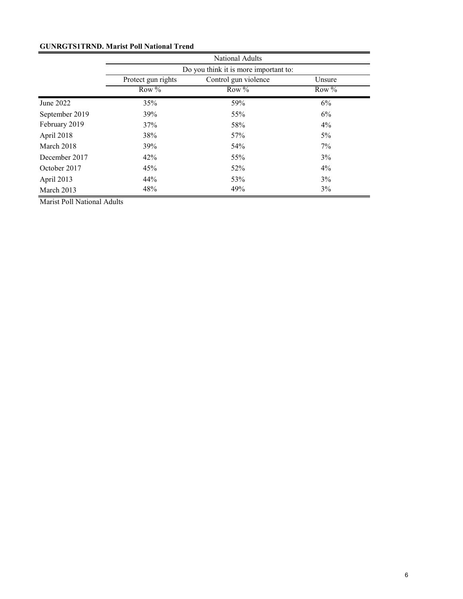## **GUNRGTS1TRND. Marist Poll National Trend**

|                |                                       | <b>National Adults</b> |         |  |
|----------------|---------------------------------------|------------------------|---------|--|
|                | Do you think it is more important to: |                        |         |  |
|                | Protect gun rights                    | Control gun violence   | Unsure  |  |
|                | Row $%$                               | Row $%$                | Row $%$ |  |
| June 2022      | 35%                                   | 59%                    | 6%      |  |
| September 2019 | 39%                                   | 55%                    | 6%      |  |
| February 2019  | 37%                                   | 58%                    | $4\%$   |  |
| April 2018     | 38%                                   | 57%                    | $5\%$   |  |
| March 2018     | 39%                                   | 54%                    | 7%      |  |
| December 2017  | 42%                                   | 55%                    | 3%      |  |
| October 2017   | 45%                                   | 52%                    | $4\%$   |  |
| April 2013     | 44%                                   | 53%                    | $3\%$   |  |
| March 2013     | 48%                                   | 49%                    | 3%      |  |

Marist Poll National Adults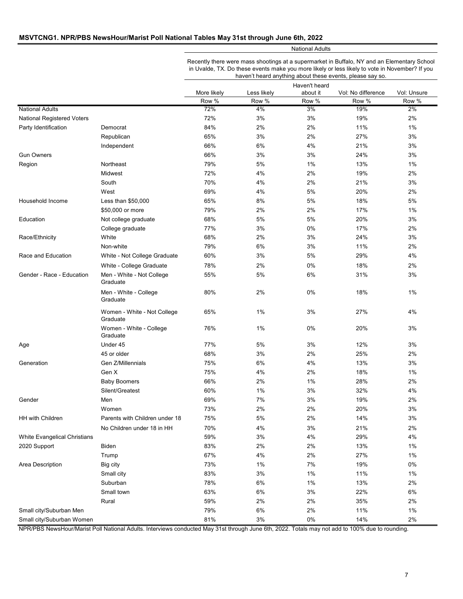#### **MSVTCNG1. NPR/PBS NewsHour/Marist Poll National Tables May 31st through June 6th, 2022**

National Adults

Recently there were mass shootings at a supermarket in Buffalo, NY and an Elementary School in Uvalde, TX. Do these events make you more likely or less likely to vote in November? If you haven't heard anything about these events, please say so.

|                              |                                         | Haven't heard |             |          |                    |             |
|------------------------------|-----------------------------------------|---------------|-------------|----------|--------------------|-------------|
|                              |                                         | More likely   | Less likely | about it | Vol: No difference | Vol: Unsure |
|                              |                                         | Row %         | Row %       | Row %    | Row %              | Row %       |
| <b>National Adults</b>       |                                         | 72%           | 4%          | 3%       | 19%                | 2%          |
| National Registered Voters   |                                         | 72%           | 3%          | 3%       | 19%                | 2%          |
| Party Identification         | Democrat                                | 84%           | 2%          | 2%       | 11%                | 1%          |
|                              | Republican                              | 65%           | 3%          | 2%       | 27%                | 3%          |
|                              | Independent                             | 66%           | 6%          | 4%       | 21%                | 3%          |
| <b>Gun Owners</b>            |                                         | 66%           | 3%          | 3%       | 24%                | 3%          |
| Region                       | Northeast                               | 79%           | 5%          | 1%       | 13%                | 1%          |
|                              | Midwest                                 | 72%           | 4%          | 2%       | 19%                | 2%          |
|                              | South                                   | 70%           | 4%          | 2%       | 21%                | 3%          |
|                              | West                                    | 69%           | 4%          | 5%       | 20%                | 2%          |
| Household Income             | Less than \$50,000                      | 65%           | 8%          | 5%       | 18%                | 5%          |
|                              | \$50,000 or more                        | 79%           | 2%          | 2%       | 17%                | $1\%$       |
| Education                    | Not college graduate                    | 68%           | 5%          | 5%       | 20%                | 3%          |
|                              | College graduate                        | 77%           | 3%          | 0%       | 17%                | 2%          |
| Race/Ethnicity               | White                                   | 68%           | 2%          | 3%       | 24%                | 3%          |
|                              | Non-white                               | 79%           | 6%          | 3%       | 11%                | 2%          |
| Race and Education           | White - Not College Graduate            | 60%           | 3%          | 5%       | 29%                | 4%          |
|                              | White - College Graduate                | 78%           | 2%          | 0%       | 18%                | 2%          |
| Gender - Race - Education    | Men - White - Not College               | 55%           | 5%          | 6%       | 31%                | 3%          |
|                              | Graduate                                |               |             |          |                    |             |
|                              | Men - White - College<br>Graduate       | 80%           | 2%          | 0%       | 18%                | 1%          |
|                              | Women - White - Not College<br>Graduate | 65%           | $1\%$       | 3%       | 27%                | 4%          |
|                              | Women - White - College<br>Graduate     | 76%           | $1\%$       | 0%       | 20%                | 3%          |
| Age                          | Under 45                                | 77%           | 5%          | 3%       | 12%                | 3%          |
|                              | 45 or older                             | 68%           | 3%          | 2%       | 25%                | 2%          |
| Generation                   | Gen Z/Millennials                       | 75%           | 6%          | 4%       | 13%                | 3%          |
|                              | Gen X                                   | 75%           | 4%          | 2%       | 18%                | 1%          |
|                              | <b>Baby Boomers</b>                     | 66%           | 2%          | $1\%$    | 28%                | 2%          |
|                              | Silent/Greatest                         | 60%           | $1\%$       | $3%$     | 32%                | 4%          |
| Gender                       | Men                                     | 69%           | 7%          | $3%$     | 19%                | 2%          |
|                              | Women                                   | 73%           | 2%          | 2%       | 20%                | 3%          |
| <b>HH with Children</b>      | Parents with Children under 18          | 75%           | 5%          | 2%       | 14%                | 3%          |
|                              |                                         |               |             |          |                    |             |
|                              | No Children under 18 in HH              | 70%           | 4%          | $3%$     | 21%                | 2%          |
| White Evangelical Christians |                                         | 59%           | 3%          | 4%       | 29%                | 4%          |
| 2020 Support                 | Biden                                   | 83%           | 2%          | 2%       | 13%                | 1%          |
|                              | Trump                                   | 67%           | 4%          | 2%       | 27%                | 1%          |
| Area Description             | Big city                                | 73%           | 1%          | 7%       | 19%                | $0\%$       |
|                              | Small city                              | 83%           | 3%          | 1%       | 11%                | 1%          |
|                              | Suburban                                | 78%           | 6%          | 1%       | 13%                | 2%          |
|                              | Small town                              | 63%           | 6%          | 3%       | 22%                | 6%          |
|                              | Rural                                   | 59%           | 2%          | 2%       | 35%                | 2%          |
| Small city/Suburban Men      |                                         | 79%           | 6%          | 2%       | 11%                | 1%          |
| Small city/Suburban Women    |                                         | 81%           | 3%          | 0%       | 14%                | 2%          |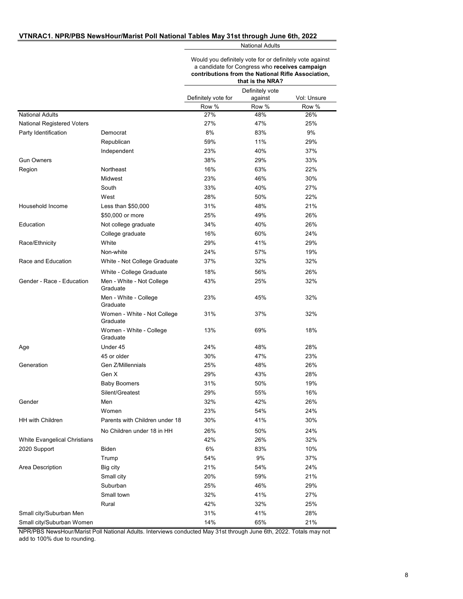#### **VTNRAC1. NPR/PBS NewsHour/Marist Poll National Tables May 31st through June 6th, 2022**

National Adults

Would you definitely vote for or definitely vote against a candidate for Congress who **receives campaign contributions from the National Rifle Association,** 

|                                   |                                         | that is the NRA?    |                  |              |
|-----------------------------------|-----------------------------------------|---------------------|------------------|--------------|
|                                   |                                         |                     | Definitely vote  |              |
|                                   |                                         | Definitely vote for | against<br>Row % | Vol: Unsure  |
| <b>National Adults</b>            |                                         | Row %<br>27%        | 48%              | Row %<br>26% |
| <b>National Registered Voters</b> |                                         | 27%                 | 47%              | 25%          |
|                                   | Democrat                                | 8%                  | 83%              | 9%           |
| Party Identification              |                                         |                     |                  |              |
|                                   | Republican                              | 59%                 | 11%              | 29%          |
|                                   | Independent                             | 23%                 | 40%              | 37%          |
| <b>Gun Owners</b>                 |                                         | 38%                 | 29%              | 33%          |
| Region                            | Northeast                               | 16%                 | 63%              | 22%          |
|                                   | Midwest                                 | 23%                 | 46%              | 30%          |
|                                   | South                                   | 33%                 | 40%              | 27%          |
|                                   | West                                    | 28%                 | 50%              | 22%          |
| Household Income                  | Less than $$50,000$                     | 31%                 | 48%              | 21%          |
|                                   | \$50,000 or more                        | 25%                 | 49%              | 26%          |
| Education                         | Not college graduate                    | 34%                 | 40%              | 26%          |
|                                   | College graduate                        | 16%                 | 60%              | 24%          |
| Race/Ethnicity                    | White                                   | 29%                 | 41%              | 29%          |
|                                   | Non-white                               | 24%                 | 57%              | 19%          |
| Race and Education                | White - Not College Graduate            | 37%                 | 32%              | 32%          |
|                                   | White - College Graduate                | 18%                 | 56%              | 26%          |
| Gender - Race - Education         | Men - White - Not College<br>Graduate   | 43%                 | 25%              | 32%          |
|                                   | Men - White - College<br>Graduate       | 23%                 | 45%              | 32%          |
|                                   | Women - White - Not College<br>Graduate | 31%                 | 37%              | 32%          |
|                                   | Women - White - College<br>Graduate     | 13%                 | 69%              | 18%          |
| Age                               | Under 45                                | 24%                 | 48%              | 28%          |
|                                   | 45 or older                             | 30%                 | 47%              | 23%          |
| Generation                        | Gen Z/Millennials                       | 25%                 | 48%              | 26%          |
|                                   | Gen X                                   | 29%                 | 43%              | 28%          |
|                                   | <b>Baby Boomers</b>                     | 31%                 | 50%              | 19%          |
|                                   | Silent/Greatest                         | 29%                 | 55%              | 16%          |
| Gender                            | Men                                     | 32%                 | 42%              | 26%          |
|                                   | Women                                   | 23%                 | 54%              | 24%          |
| HH with Children                  | Parents with Children under 18          | 30%                 | 41%              | 30%          |
|                                   | No Children under 18 in HH              | 26%                 | 50%              | 24%          |
| White Evangelical Christians      |                                         | 42%                 | 26%              | 32%          |
| 2020 Support                      | Biden                                   | 6%                  | 83%              | 10%          |
|                                   | Trump                                   | 54%                 | 9%               | 37%          |
| Area Description                  | Big city                                | 21%                 | 54%              | 24%          |
|                                   | Small city                              | 20%                 | 59%              | 21%          |
|                                   |                                         |                     |                  |              |
|                                   | Suburban                                | 25%                 | 46%              | 29%          |
|                                   | Small town                              | 32%                 | 41%              | 27%          |
|                                   | Rural                                   | 42%                 | 32%              | 25%          |
| Small city/Suburban Men           |                                         | 31%                 | 41%              | 28%          |
| Small city/Suburban Women         |                                         | 14%                 | 65%              | 21%          |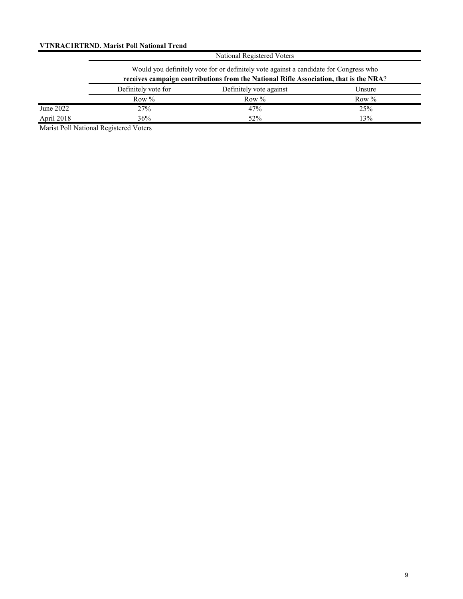### **VTNRAC1RTRND. Marist Poll National Trend**

|            | National Registered Voters                                                                                                                                                     |         |         |  |  |  |
|------------|--------------------------------------------------------------------------------------------------------------------------------------------------------------------------------|---------|---------|--|--|--|
|            | Would you definitely vote for or definitely vote against a candidate for Congress who<br>receives campaign contributions from the National Rifle Association, that is the NRA? |         |         |  |  |  |
|            | Definitely vote for<br>Definitely vote against<br>Unsure                                                                                                                       |         |         |  |  |  |
|            | Row $%$                                                                                                                                                                        | Row $%$ | Row $%$ |  |  |  |
| June 2022  | 27%                                                                                                                                                                            | 47%     | 25%     |  |  |  |
| April 2018 | 36%                                                                                                                                                                            | 52%     | 13%     |  |  |  |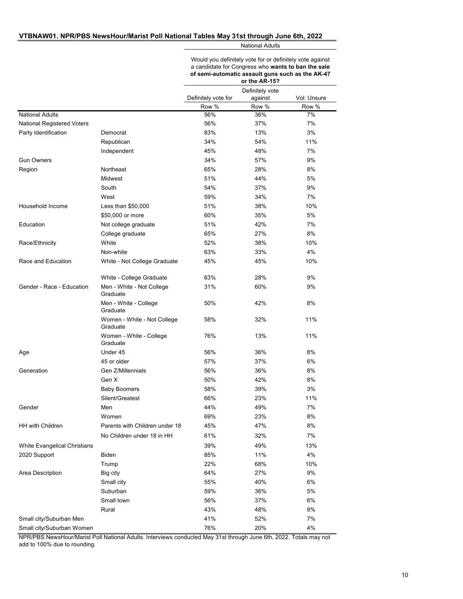#### **VTBNAW01. NPR/PBS NewsHour/Marist Poll National Tables May 31st through June 6th, 2022**

National Adults

Would you definitely vote for or definitely vote against a candidate for Congress who **wants to ban the sale of semi-automatic assault guns such as the AK-47 or the AR-15?**

|                                   |                                         |                              | Definitely vote  |                      |
|-----------------------------------|-----------------------------------------|------------------------------|------------------|----------------------|
|                                   |                                         | Definitely vote for<br>Row % | against<br>Row % | Vol: Unsure<br>Row % |
| <b>National Adults</b>            |                                         | 56%                          | 36%              | 7%                   |
| <b>National Registered Voters</b> |                                         | 56%                          | 37%              | 7%                   |
| Party Identification              | Democrat                                | 83%                          | 13%              | 3%                   |
|                                   | Republican                              | 34%                          | 54%              | 11%                  |
|                                   | Independent                             | 45%                          | 48%              | 7%                   |
| <b>Gun Owners</b>                 |                                         | 34%                          | 57%              | 9%                   |
| Region                            | Northeast                               | 65%                          | 28%              | 8%                   |
|                                   | Midwest                                 | 51%                          | 44%              | 5%                   |
|                                   | South                                   | 54%                          | 37%              | 9%                   |
|                                   | West                                    | 59%                          | 34%              | 7%                   |
| Household Income                  | Less than $$50,000$                     | 51%                          | 38%              | 10%                  |
|                                   | \$50,000 or more                        | 60%                          | 35%              | 5%                   |
| Education                         | Not college graduate                    | 51%                          | 42%              | 7%                   |
|                                   | College graduate                        | 65%                          | 27%              | 8%                   |
| Race/Ethnicity                    | White                                   | 52%                          | 38%              | 10%                  |
|                                   | Non-white                               | 63%                          | 33%              | 4%                   |
| Race and Education                | White - Not College Graduate            | 45%                          | 45%              | 10%                  |
|                                   |                                         |                              |                  |                      |
|                                   | White - College Graduate                | 63%                          | 28%              | 9%                   |
| Gender - Race - Education         | Men - White - Not College<br>Graduate   | 31%                          | 60%              | 9%                   |
|                                   | Men - White - College<br>Graduate       | 50%                          | 42%              | 8%                   |
|                                   | Women - White - Not College<br>Graduate | 58%                          | 32%              | 11%                  |
|                                   | Women - White - College<br>Graduate     | 76%                          | 13%              | 11%                  |
| Age                               | Under 45                                | 56%                          | 36%              | 8%                   |
|                                   | 45 or older                             | 57%                          | 37%              | 6%                   |
| Generation                        | Gen Z/Millennials                       | 56%                          | 36%              | 8%                   |
|                                   | Gen X                                   | 50%                          | 42%              | 8%                   |
|                                   | <b>Baby Boomers</b>                     | 58%                          | 39%              | 3%                   |
|                                   | Silent/Greatest                         | 66%                          | 23%              | 11%                  |
| Gender                            | Men                                     | 44%                          | 49%              | 7%                   |
|                                   | Women                                   | 69%                          | 23%              | 8%                   |
| HH with Children                  | Parents with Children under 18          | 45%                          | 47%              | 8%                   |
|                                   | No Children under 18 in HH              | 61%                          | 32%              | 7%                   |
| White Evangelical Christians      |                                         | 39%                          | 49%              | 13%                  |
| 2020 Support                      | <b>Biden</b>                            | 85%                          | 11%              | 4%                   |
|                                   | Trump                                   | 22%                          | 68%              | 10%                  |
| Area Description                  | Big city                                | 64%                          | 27%              | 9%                   |
|                                   | Small city                              | 55%                          | 40%              | 6%                   |
|                                   | Suburban                                | 59%                          | 36%              | 5%                   |
|                                   | Small town                              | 56%                          | 37%              | 6%                   |
|                                   | Rural                                   | 43%                          | 48%              | 9%                   |
| Small city/Suburban Men           |                                         | 41%                          | 52%              | 7%                   |
| Small city/Suburban Women         |                                         | 76%                          | 20%              | 4%                   |
|                                   |                                         |                              |                  |                      |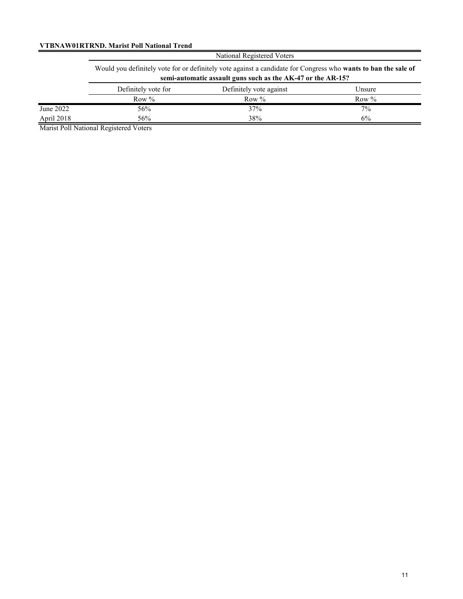### **VTBNAW01RTRND. Marist Poll National Trend**

| National Registered Voters |  |
|----------------------------|--|
|                            |  |

|            | Would you definitely vote for or definitely vote against a candidate for Congress who wants to ban the sale of<br>semi-automatic assault guns such as the AK-47 or the AR-15? |                         |          |  |  |
|------------|-------------------------------------------------------------------------------------------------------------------------------------------------------------------------------|-------------------------|----------|--|--|
|            | Definitely vote for                                                                                                                                                           | Definitely vote against | Unsure   |  |  |
|            | Row $\%$                                                                                                                                                                      | Row $\%$                | Row $\%$ |  |  |
| June 2022  | 56%                                                                                                                                                                           | 37%                     | $7\%$    |  |  |
| April 2018 | 56%                                                                                                                                                                           | 38%                     | 6%       |  |  |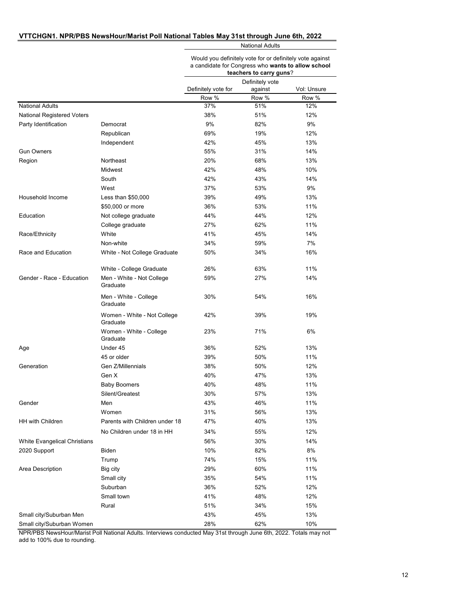#### **VTTCHGN1. NPR/PBS NewsHour/Marist Poll National Tables May 31st through June 6th, 2022**

National Adults

Would you definitely vote for or definitely vote against a candidate for Congress who **wants to allow school teachers to carry gun** 

|                              |                                         |                     | teachers to carry guns?    |             |
|------------------------------|-----------------------------------------|---------------------|----------------------------|-------------|
|                              |                                         | Definitely vote for | Definitely vote<br>against | Vol: Unsure |
|                              |                                         | Row %               | Row %                      | Row %       |
| <b>National Adults</b>       |                                         | 37%                 | 51%                        | 12%         |
| National Registered Voters   |                                         | 38%                 | 51%                        | 12%         |
| Party Identification         | Democrat                                | 9%                  | 82%                        | 9%          |
|                              | Republican                              | 69%                 | 19%                        | 12%         |
|                              | Independent                             | 42%                 | 45%                        | 13%         |
| <b>Gun Owners</b>            |                                         | 55%                 | 31%                        | 14%         |
| Region                       | Northeast                               | 20%                 | 68%                        | 13%         |
|                              | Midwest                                 | 42%                 | 48%                        | 10%         |
|                              | South                                   | 42%                 | 43%                        | 14%         |
|                              | West                                    | 37%                 | 53%                        | 9%          |
| Household Income             | Less than \$50,000                      | 39%                 | 49%                        | 13%         |
|                              | \$50,000 or more                        | 36%                 | 53%                        | 11%         |
| Education                    | Not college graduate                    | 44%                 | 44%                        | 12%         |
|                              | College graduate                        | 27%                 | 62%                        | 11%         |
| Race/Ethnicity               | White                                   | 41%                 | 45%                        | 14%         |
|                              | Non-white                               | 34%                 | 59%                        | 7%          |
| Race and Education           | White - Not College Graduate            | 50%                 | 34%                        | 16%         |
|                              | White - College Graduate                | 26%                 | 63%                        | 11%         |
| Gender - Race - Education    | Men - White - Not College<br>Graduate   | 59%                 | 27%                        | 14%         |
|                              | Men - White - College<br>Graduate       | 30%                 | 54%                        | 16%         |
|                              | Women - White - Not College<br>Graduate | 42%                 | 39%                        | 19%         |
|                              | Women - White - College<br>Graduate     | 23%                 | 71%                        | 6%          |
| Age                          | Under 45                                | 36%                 | 52%                        | 13%         |
|                              | 45 or older                             | 39%                 | 50%                        | 11%         |
| Generation                   | Gen Z/Millennials                       | 38%                 | 50%                        | 12%         |
|                              | Gen X                                   | 40%                 | 47%                        | 13%         |
|                              | <b>Baby Boomers</b>                     | 40%                 | 48%                        | 11%         |
|                              | Silent/Greatest                         | 30%                 | 57%                        | 13%         |
| Gender                       | Men                                     | 43%                 | 46%                        | 11%         |
|                              | Women                                   | 31%                 | 56%                        | 13%         |
| HH with Children             | Parents with Children under 18          | 47%                 | 40%                        | 13%         |
|                              | No Children under 18 in HH              | 34%                 | 55%                        | 12%         |
| White Evangelical Christians |                                         | 56%                 | 30%                        | 14%         |
| 2020 Support                 | Biden                                   | 10%                 | 82%                        | 8%          |
|                              | Trump                                   | 74%                 | 15%                        | 11%         |
| Area Description             | Big city                                | 29%                 | 60%                        | 11%         |
|                              | Small city                              | 35%                 | 54%                        | 11%         |
|                              | Suburban                                | 36%                 | 52%                        | 12%         |
|                              | Small town                              | 41%                 | 48%                        | 12%         |
|                              | Rural                                   | 51%                 | 34%                        | 15%         |
| Small city/Suburban Men      |                                         | 43%                 | 45%                        | 13%         |
|                              |                                         |                     |                            |             |
| Small city/Suburban Women    |                                         | 28%                 | 62%                        | 10%         |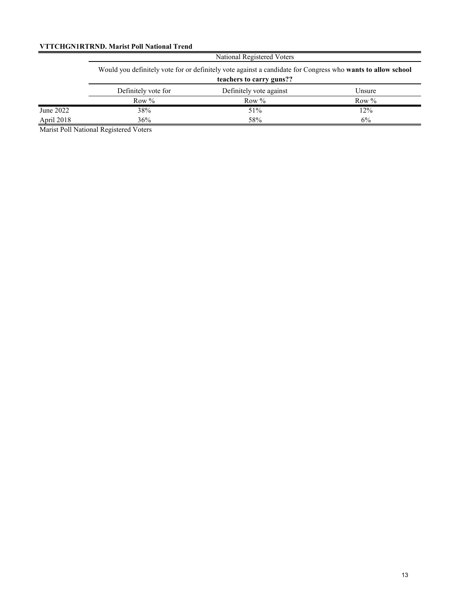### **VTTCHGN1RTRND. Marist Poll National Trend**

|            | National Registered Voters<br>Would you definitely vote for or definitely vote against a candidate for Congress who wants to allow school<br>teachers to carry guns?? |         |         |  |  |
|------------|-----------------------------------------------------------------------------------------------------------------------------------------------------------------------|---------|---------|--|--|
|            |                                                                                                                                                                       |         |         |  |  |
|            | Definitely vote against<br>Definitely vote for<br>Unsure                                                                                                              |         |         |  |  |
|            | Row $%$                                                                                                                                                               | Row $%$ | Row $%$ |  |  |
| June 2022  | 38%                                                                                                                                                                   | 51%     | 12%     |  |  |
| April 2018 | 36%                                                                                                                                                                   | 58%     | 6%      |  |  |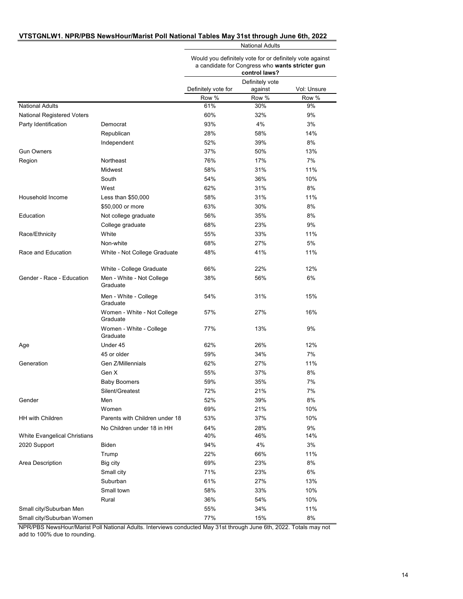#### **VTSTGNLW1. NPR/PBS NewsHour/Marist Poll National Tables May 31st through June 6th, 2022**

National Adults

Would you definitely vote for or definitely vote against a candidate for Congress who **wants stricter gun** 

|                                   |                                         | control laws?       |                            |             |
|-----------------------------------|-----------------------------------------|---------------------|----------------------------|-------------|
|                                   |                                         | Definitely vote for | Definitely vote<br>against | Vol: Unsure |
|                                   |                                         | Row %               | Row %                      | Row %       |
| <b>National Adults</b>            |                                         | 61%                 | 30%                        | 9%          |
| <b>National Registered Voters</b> |                                         | 60%                 | 32%                        | 9%          |
| Party Identification              | Democrat                                | 93%                 | 4%                         | 3%          |
|                                   | Republican                              | 28%                 | 58%                        | 14%         |
|                                   | Independent                             | 52%                 | 39%                        | 8%          |
| <b>Gun Owners</b>                 |                                         | 37%                 | 50%                        | 13%         |
| Region                            | Northeast                               | 76%                 | 17%                        | 7%          |
|                                   | Midwest                                 | 58%                 | 31%                        | 11%         |
|                                   | South                                   | 54%                 | 36%                        | 10%         |
|                                   | West                                    | 62%                 | 31%                        | 8%          |
| Household Income                  | Less than $$50,000$                     | 58%                 | 31%                        | 11%         |
|                                   | \$50,000 or more                        | 63%                 | 30%                        | 8%          |
| Education                         | Not college graduate                    | 56%                 | 35%                        | 8%          |
|                                   | College graduate                        | 68%                 | 23%                        | 9%          |
| Race/Ethnicity                    | White                                   | 55%                 | 33%                        | 11%         |
|                                   | Non-white                               | 68%                 | 27%                        | 5%          |
| Race and Education                | White - Not College Graduate            | 48%                 | 41%                        | 11%         |
|                                   | White - College Graduate                | 66%                 | 22%                        | 12%         |
| Gender - Race - Education         | Men - White - Not College<br>Graduate   | 38%                 | 56%                        | 6%          |
|                                   | Men - White - College<br>Graduate       | 54%                 | 31%                        | 15%         |
|                                   | Women - White - Not College<br>Graduate | 57%                 | 27%                        | 16%         |
|                                   | Women - White - College<br>Graduate     | 77%                 | 13%                        | 9%          |
| Age                               | Under 45                                | 62%                 | 26%                        | 12%         |
|                                   | 45 or older                             | 59%                 | 34%                        | 7%          |
| Generation                        | Gen Z/Millennials                       | 62%                 | 27%                        | 11%         |
|                                   | Gen X                                   | 55%                 | 37%                        | 8%          |
|                                   | <b>Baby Boomers</b>                     | 59%                 | 35%                        | 7%          |
|                                   | Silent/Greatest                         | 72%                 | 21%                        | 7%          |
| Gender                            | Men                                     | 52%                 | 39%                        | 8%          |
|                                   | Women                                   | 69%                 | 21%                        | 10%         |
| <b>HH with Children</b>           | Parents with Children under 18          | 53%                 | 37%                        | 10%         |
|                                   | No Children under 18 in HH              | 64%                 | 28%                        | 9%          |
| White Evangelical Christians      |                                         | 40%                 | 46%                        | 14%         |
| 2020 Support                      | Biden                                   | 94%                 | 4%                         | 3%          |
|                                   | Trump                                   | 22%                 | 66%                        | 11%         |
| Area Description                  | Big city                                | 69%                 | 23%                        | 8%          |
|                                   | Small city                              | 71%                 | 23%                        | 6%          |
|                                   | Suburban                                | 61%                 | 27%                        | 13%         |
|                                   | Small town                              | 58%                 | 33%                        | 10%         |
|                                   | Rural                                   | 36%                 | 54%                        | 10%         |
| Small city/Suburban Men           |                                         | 55%                 | 34%                        | 11%         |
| Small city/Suburban Women         |                                         | 77%                 | 15%                        | 8%          |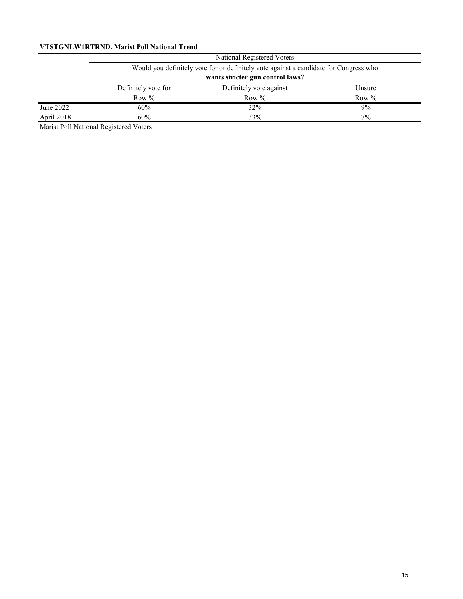### **VTSTGNLW1RTRND. Marist Poll National Trend**

|            | National Registered Voters       |                                                                                       |          |  |  |  |
|------------|----------------------------------|---------------------------------------------------------------------------------------|----------|--|--|--|
|            |                                  | Would you definitely vote for or definitely vote against a candidate for Congress who |          |  |  |  |
|            | wants stricter gun control laws? |                                                                                       |          |  |  |  |
|            | Definitely vote for              | Definitely vote against                                                               | Unsure   |  |  |  |
|            | Row $%$                          | Row $%$                                                                               | Row $\%$ |  |  |  |
| June 2022  | 60%                              | 32%                                                                                   | $9\%$    |  |  |  |
| April 2018 | 60%                              | 33%                                                                                   | $7\%$    |  |  |  |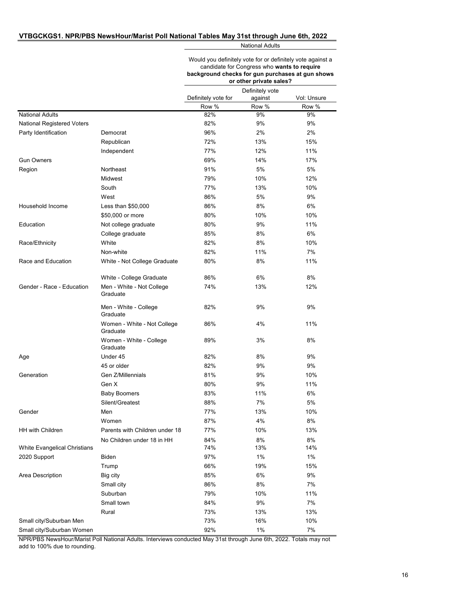#### **VTBGCKGS1. NPR/PBS NewsHour/Marist Poll National Tables May 31st through June 6th, 2022**

National Adults

|                                   |                                         | Would you definitely vote for or definitely vote against a<br>candidate for Congress who wants to require<br>background checks for gun purchases at gun shows<br>or other private sales? |                            |             |
|-----------------------------------|-----------------------------------------|------------------------------------------------------------------------------------------------------------------------------------------------------------------------------------------|----------------------------|-------------|
|                                   |                                         | Definitely vote for                                                                                                                                                                      | Definitely vote<br>against | Vol: Unsure |
|                                   |                                         | Row %                                                                                                                                                                                    | Row %                      | Row %       |
| <b>National Adults</b>            |                                         | 82%                                                                                                                                                                                      | 9%                         | 9%          |
| <b>National Registered Voters</b> |                                         | 82%                                                                                                                                                                                      | 9%                         | 9%          |
| Party Identification              | Democrat                                | 96%                                                                                                                                                                                      | 2%                         | 2%          |
|                                   | Republican                              | 72%                                                                                                                                                                                      | 13%                        | 15%         |
|                                   | Independent                             | 77%                                                                                                                                                                                      | 12%                        | 11%         |
| <b>Gun Owners</b>                 |                                         | 69%                                                                                                                                                                                      | 14%                        | 17%         |
| Region                            | Northeast                               | 91%                                                                                                                                                                                      | 5%                         | 5%          |
|                                   | Midwest                                 | 79%                                                                                                                                                                                      | 10%                        | 12%         |
|                                   | South                                   | 77%                                                                                                                                                                                      | 13%                        | 10%         |
|                                   | West                                    | 86%                                                                                                                                                                                      | 5%                         | 9%          |
| Household Income                  | Less than \$50,000                      | 86%                                                                                                                                                                                      | 8%                         | 6%          |
|                                   | \$50,000 or more                        | 80%                                                                                                                                                                                      | 10%                        | 10%         |
| Education                         | Not college graduate                    | 80%                                                                                                                                                                                      | 9%                         | 11%         |
|                                   | College graduate                        | 85%                                                                                                                                                                                      | 8%                         | 6%          |
| Race/Ethnicity                    | White                                   | 82%                                                                                                                                                                                      | 8%                         | 10%         |
|                                   | Non-white                               | 82%                                                                                                                                                                                      | 11%                        | 7%          |
| Race and Education                | White - Not College Graduate            | 80%                                                                                                                                                                                      | 8%                         | 11%         |
|                                   | White - College Graduate                | 86%                                                                                                                                                                                      | 6%                         | 8%          |
| Gender - Race - Education         | Men - White - Not College<br>Graduate   | 74%                                                                                                                                                                                      | 13%                        | 12%         |
|                                   | Men - White - College<br>Graduate       | 82%                                                                                                                                                                                      | 9%                         | 9%          |
|                                   | Women - White - Not College<br>Graduate | 86%                                                                                                                                                                                      | 4%                         | 11%         |
|                                   | Women - White - College<br>Graduate     | 89%                                                                                                                                                                                      | 3%                         | 8%          |
| Age                               | Under 45                                | 82%                                                                                                                                                                                      | 8%                         | 9%          |
|                                   | 45 or older                             | 82%                                                                                                                                                                                      | 9%                         | 9%          |
| Generation                        | Gen Z/Millennials                       | 81%                                                                                                                                                                                      | 9%                         | 10%         |
|                                   | Gen X                                   | 80%                                                                                                                                                                                      | 9%                         | 11%         |
|                                   | <b>Baby Boomers</b>                     | 83%                                                                                                                                                                                      | 11%                        | $6\%$       |
|                                   | Silent/Greatest                         | 88%                                                                                                                                                                                      | 7%                         | 5%          |
| Gender                            | Men                                     | 77%                                                                                                                                                                                      | 13%                        | 10%         |
|                                   | Women                                   | 87%                                                                                                                                                                                      | 4%                         | $8\%$       |
| <b>HH with Children</b>           | Parents with Children under 18          | 77%                                                                                                                                                                                      | 10%                        | 13%         |
|                                   | No Children under 18 in HH              | 84%                                                                                                                                                                                      | 8%                         | 8%          |
| White Evangelical Christians      |                                         | 74%                                                                                                                                                                                      | 13%                        | 14%         |
| 2020 Support                      | Biden                                   | 97%                                                                                                                                                                                      | 1%                         | 1%          |
|                                   | Trump                                   | 66%                                                                                                                                                                                      | 19%                        | 15%         |
| Area Description                  | Big city                                | 85%                                                                                                                                                                                      | 6%                         | $9\%$       |
|                                   | Small city                              | 86%                                                                                                                                                                                      | 8%                         | 7%          |
|                                   | Suburban                                | 79%                                                                                                                                                                                      | 10%                        | 11%         |
|                                   | Small town                              | 84%                                                                                                                                                                                      | 9%                         | 7%          |
|                                   | Rural                                   | 73%                                                                                                                                                                                      | 13%                        | 13%         |
| Small city/Suburban Men           |                                         | 73%                                                                                                                                                                                      | 16%                        | 10%         |
| Small city/Suburban Women         |                                         | 92%                                                                                                                                                                                      | 1%                         | 7%          |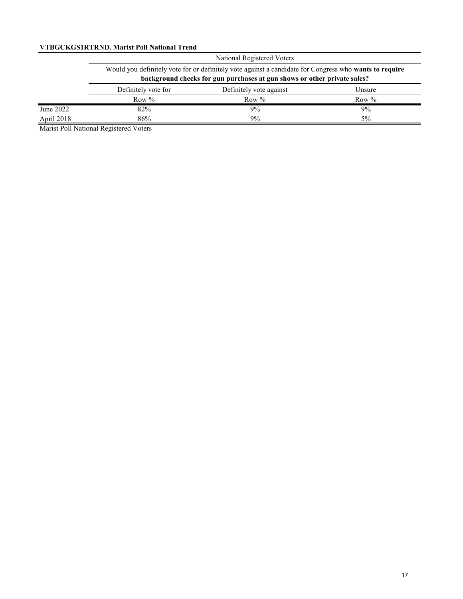#### **VTBGCKGS1RTRND. Marist Poll National Trend**

|            | National Registered Voters                                                                             |         |         |  |  |
|------------|--------------------------------------------------------------------------------------------------------|---------|---------|--|--|
|            | Would you definitely vote for or definitely vote against a candidate for Congress who wants to require |         |         |  |  |
|            | background checks for gun purchases at gun shows or other private sales?                               |         |         |  |  |
|            | Definitely vote for<br>Definitely vote against<br>Unsure                                               |         |         |  |  |
|            | Row $%$                                                                                                | Row $%$ | Row $%$ |  |  |
| June 2022  | 82%                                                                                                    | $9\%$   | 9%      |  |  |
| April 2018 | 86%                                                                                                    | 9%      | 5%      |  |  |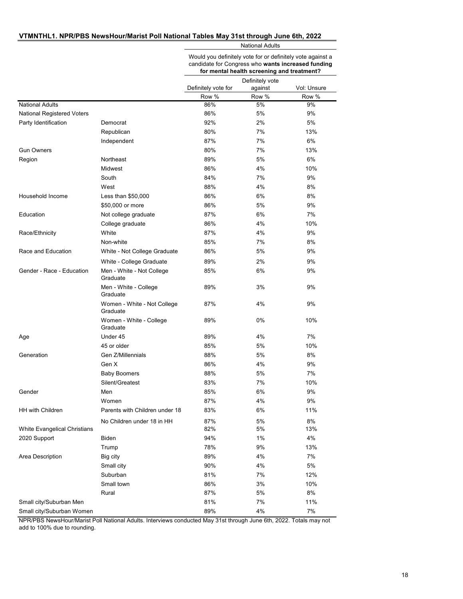#### **VTMNTHL1. NPR/PBS NewsHour/Marist Poll National Tables May 31st through June 6th, 2022**

National Adults

Would you definitely vote for or definitely vote against a candidate for Congress who **wants increased funding** 

|                                   |                                         | for mental health screening and treatment? |                            |             |
|-----------------------------------|-----------------------------------------|--------------------------------------------|----------------------------|-------------|
|                                   |                                         | Definitely vote for                        | Definitely vote<br>against | Vol: Unsure |
|                                   |                                         | Row %                                      | Row %                      | Row %       |
| <b>National Adults</b>            |                                         | 86%                                        | 5%                         | 9%          |
| <b>National Registered Voters</b> |                                         | 86%                                        | 5%                         | 9%          |
| Party Identification              | Democrat                                | 92%                                        | 2%                         | 5%          |
|                                   | Republican                              | 80%                                        | 7%                         | 13%         |
|                                   | Independent                             | 87%                                        | 7%                         | 6%          |
| <b>Gun Owners</b>                 |                                         | 80%                                        | 7%                         | 13%         |
| Region                            | Northeast                               | 89%                                        | 5%                         | 6%          |
|                                   | Midwest                                 | 86%                                        | 4%                         | 10%         |
|                                   | South                                   | 84%                                        | 7%                         | 9%          |
|                                   | West                                    | 88%                                        | 4%                         | 8%          |
| Household Income                  | Less than $$50,000$                     | 86%                                        | 6%                         | 8%          |
|                                   | \$50,000 or more                        | 86%                                        | 5%                         | 9%          |
| Education                         | Not college graduate                    | 87%                                        | 6%                         | 7%          |
|                                   | College graduate                        | 86%                                        | 4%                         | 10%         |
| Race/Ethnicity                    | White                                   | 87%                                        | 4%                         | 9%          |
|                                   | Non-white                               | 85%                                        | 7%                         | 8%          |
| Race and Education                | White - Not College Graduate            | 86%                                        | 5%                         | 9%          |
|                                   | White - College Graduate                | 89%                                        | 2%                         | 9%          |
| Gender - Race - Education         | Men - White - Not College<br>Graduate   | 85%                                        | 6%                         | 9%          |
|                                   | Men - White - College<br>Graduate       | 89%                                        | 3%                         | 9%          |
|                                   | Women - White - Not College<br>Graduate | 87%                                        | 4%                         | 9%          |
|                                   | Women - White - College<br>Graduate     | 89%                                        | 0%                         | 10%         |
| Age                               | Under 45                                | 89%                                        | 4%                         | 7%          |
|                                   | 45 or older                             | 85%                                        | 5%                         | 10%         |
| Generation                        | Gen Z/Millennials                       | 88%                                        | 5%                         | 8%          |
|                                   | Gen X                                   | 86%                                        | 4%                         | 9%          |
|                                   | <b>Baby Boomers</b>                     | 88%                                        | 5%                         | 7%          |
|                                   | Silent/Greatest                         | 83%                                        | 7%                         | 10%         |
| Gender                            | Men                                     | 85%                                        | 6%                         | 9%          |
|                                   | Women                                   | 87%                                        | 4%                         | 9%          |
| HH with Children                  | Parents with Children under 18          | 83%                                        | $6\%$                      | 11%         |
|                                   | No Children under 18 in HH              | 87%                                        | 5%                         | 8%          |
| White Evangelical Christians      |                                         | 82%                                        | 5%                         | 13%         |
| 2020 Support                      | Biden                                   | 94%                                        | 1%                         | 4%          |
|                                   | Trump                                   | 78%                                        | 9%                         | 13%         |
| Area Description                  | Big city                                | 89%                                        | 4%                         | 7%          |
|                                   | Small city                              | 90%                                        | 4%                         | 5%          |
|                                   | Suburban                                | 81%                                        | 7%                         | 12%         |
|                                   | Small town                              | 86%                                        | 3%                         | 10%         |
|                                   | Rural                                   | 87%                                        | 5%                         | 8%          |
| Small city/Suburban Men           |                                         | 81%                                        | 7%                         | 11%         |
| Small city/Suburban Women         |                                         | 89%                                        | 4%                         | 7%          |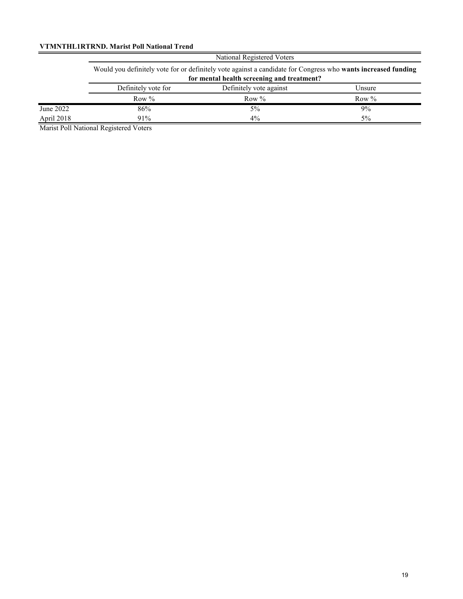### **VTMNTHL1RTRND. Marist Poll National Trend**

|            | National Registered Voters                                                                                                                                  |          |          |  |  |
|------------|-------------------------------------------------------------------------------------------------------------------------------------------------------------|----------|----------|--|--|
|            | Would you definitely vote for or definitely vote against a candidate for Congress who wants increased funding<br>for mental health screening and treatment? |          |          |  |  |
|            | Definitely vote against<br>Definitely vote for<br>Unsure                                                                                                    |          |          |  |  |
|            | Row $\%$                                                                                                                                                    | Row $\%$ | Row $\%$ |  |  |
| June 2022  | 86%                                                                                                                                                         | $5\%$    | 9%       |  |  |
| April 2018 | 91%                                                                                                                                                         | $4\%$    | 5%       |  |  |

Marist Poll National Registered Voters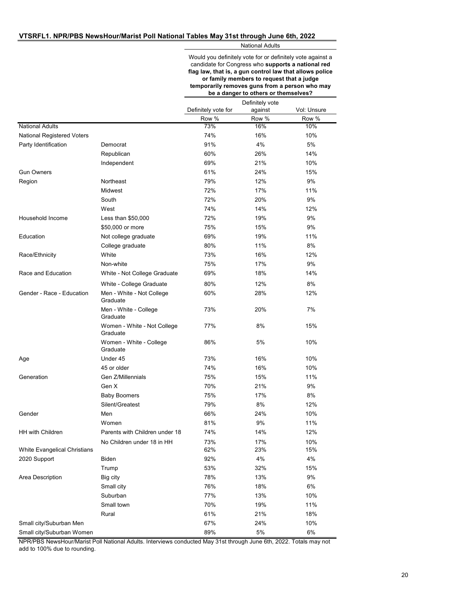National Adults

Would you definitely vote for or definitely vote against a candidate for Congress who **supports a national red flag law, that is, a gun control law that allows police or family members to request that a judge temporarily removes guns from a person who may be a danger to others or themselves?**

|                                   |                                         | Definitely vote     |         |             |
|-----------------------------------|-----------------------------------------|---------------------|---------|-------------|
|                                   |                                         | Definitely vote for | against | Vol: Unsure |
|                                   |                                         | Row %               | Row %   | Row %       |
| <b>National Adults</b>            |                                         | 73%                 | 16%     | 10%         |
| <b>National Registered Voters</b> |                                         | 74%                 | 16%     | 10%         |
| Party Identification              | Democrat                                | 91%                 | 4%      | 5%          |
|                                   | Republican                              | 60%                 | 26%     | 14%         |
|                                   | Independent                             | 69%                 | 21%     | 10%         |
| <b>Gun Owners</b>                 |                                         | 61%                 | 24%     | 15%         |
| Region                            | Northeast                               | 79%                 | 12%     | 9%          |
|                                   | Midwest                                 | 72%                 | 17%     | 11%         |
|                                   | South                                   | 72%                 | 20%     | 9%          |
|                                   | West                                    | 74%                 | 14%     | 12%         |
| Household Income                  | Less than $$50,000$                     | 72%                 | 19%     | 9%          |
|                                   | \$50,000 or more                        | 75%                 | 15%     | 9%          |
| Education                         | Not college graduate                    | 69%                 | 19%     | 11%         |
|                                   | College graduate                        | 80%                 | 11%     | 8%          |
| Race/Ethnicity                    | White                                   | 73%                 | 16%     | 12%         |
|                                   | Non-white                               | 75%                 | 17%     | 9%          |
| Race and Education                | White - Not College Graduate            | 69%                 | 18%     | 14%         |
|                                   | White - College Graduate                | 80%                 | 12%     | 8%          |
| Gender - Race - Education         | Men - White - Not College<br>Graduate   | 60%                 | 28%     | 12%         |
|                                   | Men - White - College<br>Graduate       | 73%                 | 20%     | 7%          |
|                                   | Women - White - Not College<br>Graduate | 77%                 | 8%      | 15%         |
|                                   | Women - White - College<br>Graduate     | 86%                 | 5%      | 10%         |
| Age                               | Under 45                                | 73%                 | 16%     | 10%         |
|                                   | 45 or older                             | 74%                 | 16%     | 10%         |
| Generation                        | Gen Z/Millennials                       | 75%                 | 15%     | 11%         |
|                                   | Gen X                                   | 70%                 | 21%     | 9%          |
|                                   | <b>Baby Boomers</b>                     | 75%                 | 17%     | 8%          |
|                                   | Silent/Greatest                         | 79%                 | 8%      | 12%         |
| Gender                            | Men                                     | 66%                 | 24%     | 10%         |
|                                   | Women                                   | 81%                 | 9%      | 11%         |
| <b>HH with Children</b>           | Parents with Children under 18          | 74%                 | 14%     | 12%         |
|                                   | No Children under 18 in HH              | 73%                 | 17%     | 10%         |
| White Evangelical Christians      |                                         | 62%                 | 23%     | 15%         |
| 2020 Support                      | Biden                                   | 92%                 | 4%      | 4%          |
|                                   | Trump                                   | 53%                 | 32%     | 15%         |
| Area Description                  | Big city                                | 78%                 | 13%     | 9%          |
|                                   | Small city                              | 76%                 | 18%     | $6\%$       |
|                                   | Suburban                                | 77%                 | 13%     | 10%         |
|                                   | Small town                              | 70%                 | 19%     | 11%         |
|                                   | Rural                                   | 61%                 | 21%     | 18%         |
| Small city/Suburban Men           |                                         | 67%                 | 24%     | 10%         |
| Small city/Suburban Women         |                                         | 89%                 | 5%      | 6%          |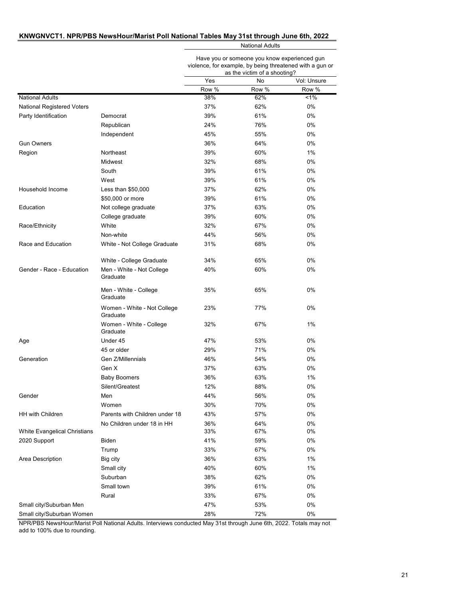#### **KNWGNVCT1. NPR/PBS NewsHour/Marist Poll National Tables May 31st through June 6th, 2022**

National Adults

Have you or someone you know experienced gun violence, for example, by being threatened with a gun or

|                              |                                         |       | as the victim of a shooting? |             |
|------------------------------|-----------------------------------------|-------|------------------------------|-------------|
|                              |                                         | Yes   | No                           | Vol: Unsure |
|                              |                                         | Row % | Row %                        | Row %       |
| <b>National Adults</b>       |                                         | 38%   | 62%                          | $1\%$       |
| National Registered Voters   |                                         | 37%   | 62%                          | 0%          |
| Party Identification         | Democrat                                | 39%   | 61%                          | 0%          |
|                              | Republican                              | 24%   | 76%                          | 0%          |
|                              | Independent                             | 45%   | 55%                          | 0%          |
| <b>Gun Owners</b>            |                                         | 36%   | 64%                          | 0%          |
| Region                       | Northeast                               | 39%   | 60%                          | 1%          |
|                              | Midwest                                 | 32%   | 68%                          | 0%          |
|                              | South                                   | 39%   | 61%                          | 0%          |
|                              | West                                    | 39%   | 61%                          | 0%          |
| Household Income             | Less than $$50,000$                     | 37%   | 62%                          | 0%          |
|                              | \$50,000 or more                        | 39%   | 61%                          | 0%          |
| Education                    | Not college graduate                    | 37%   | 63%                          | 0%          |
|                              | College graduate                        | 39%   | 60%                          | 0%          |
| Race/Ethnicity               | White                                   | 32%   | 67%                          | 0%          |
|                              | Non-white                               | 44%   | 56%                          | 0%          |
| Race and Education           | White - Not College Graduate            | 31%   | 68%                          | 0%          |
|                              | White - College Graduate                | 34%   | 65%                          | 0%          |
| Gender - Race - Education    | Men - White - Not College<br>Graduate   | 40%   | 60%                          | 0%          |
|                              | Men - White - College<br>Graduate       | 35%   | 65%                          | 0%          |
|                              | Women - White - Not College<br>Graduate | 23%   | 77%                          | 0%          |
|                              | Women - White - College<br>Graduate     | 32%   | 67%                          | 1%          |
| Age                          | Under 45                                | 47%   | 53%                          | 0%          |
|                              | 45 or older                             | 29%   | 71%                          | 0%          |
| Generation                   | Gen Z/Millennials                       | 46%   | 54%                          | 0%          |
|                              | Gen X                                   | 37%   | 63%                          | 0%          |
|                              | <b>Baby Boomers</b>                     | 36%   | 63%                          | 1%          |
|                              | Silent/Greatest                         | 12%   | 88%                          | 0%          |
| Gender                       | Men                                     | 44%   | 56%                          | 0%          |
|                              | Women                                   | 30%   | 70%                          | 0%          |
| HH with Children             | Parents with Children under 18          | 43%   | 57%                          | 0%          |
|                              | No Children under 18 in HH              | 36%   | 64%                          | $0\%$       |
| White Evangelical Christians |                                         | 33%   | 67%                          | 0%          |
| 2020 Support                 | Biden                                   | 41%   | 59%                          | 0%          |
|                              | Trump                                   | 33%   | 67%                          | 0%          |
| Area Description             | Big city                                | 36%   | 63%                          | 1%          |
|                              | Small city                              | 40%   | 60%                          | 1%          |
|                              | Suburban                                | 38%   | 62%                          | 0%          |
|                              | Small town                              | 39%   | 61%                          | 0%          |
|                              | Rural                                   | 33%   | 67%                          | 0%          |
| Small city/Suburban Men      |                                         | 47%   | 53%                          | 0%          |
| Small city/Suburban Women    |                                         | 28%   | 72%                          | 0%          |
|                              |                                         |       |                              |             |